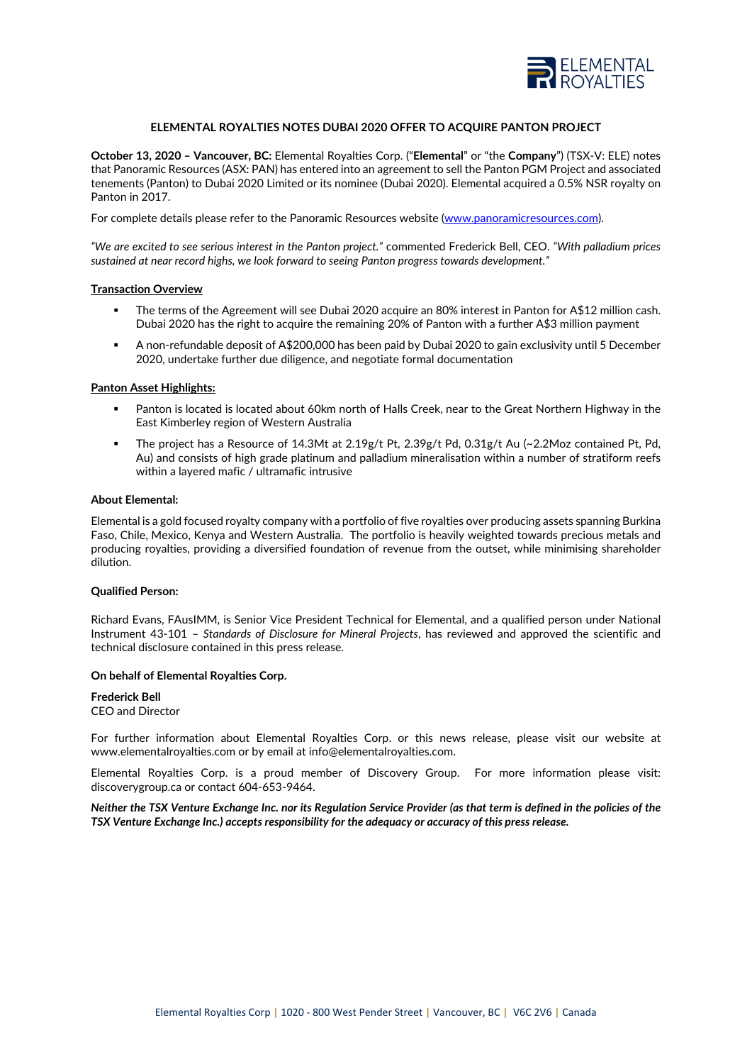

# **ELEMENTAL ROYALTIES NOTES DUBAI 2020 OFFER TO ACQUIRE PANTON PROJECT**

**October 13, 2020 – Vancouver, BC:** Elemental Royalties Corp. ("**Elemental**" or "the **Company**") (TSX-V: ELE) notes that Panoramic Resources (ASX: PAN) has entered into an agreement to sell the Panton PGM Project and associated tenements (Panton) to Dubai 2020 Limited or its nominee (Dubai 2020). Elemental acquired a 0.5% NSR royalty on Panton in 2017.

For complete details please refer to the Panoramic Resources website [\(www.panoramicresources.com\)](http://www.panoramicresources.com/).

*"We are excited to see serious interest in the Panton project."* commented Frederick Bell, CEO. *"With palladium prices sustained at near record highs, we look forward to seeing Panton progress towards development."*

## **Transaction Overview**

- The terms of the Agreement will see Dubai 2020 acquire an 80% interest in Panton for A\$12 million cash. Dubai 2020 has the right to acquire the remaining 20% of Panton with a further A\$3 million payment
- A non-refundable deposit of A\$200,000 has been paid by Dubai 2020 to gain exclusivity until 5 December 2020, undertake further due diligence, and negotiate formal documentation

## **Panton Asset Highlights:**

- Panton is located is located about 60km north of Halls Creek, near to the Great Northern Highway in the East Kimberley region of Western Australia
- The project has a Resource of 14.3Mt at 2.19g/t Pt, 2.39g/t Pd, 0.31g/t Au (~2.2Moz contained Pt, Pd, Au) and consists of high grade platinum and palladium mineralisation within a number of stratiform reefs within a layered mafic / ultramafic intrusive

## **About Elemental:**

Elemental is a gold focused royalty company with a portfolio of five royalties over producing assets spanning Burkina Faso, Chile, Mexico, Kenya and Western Australia. The portfolio is heavily weighted towards precious metals and producing royalties, providing a diversified foundation of revenue from the outset, while minimising shareholder dilution.

### **Qualified Person:**

Richard Evans, FAusIMM, is Senior Vice President Technical for Elemental, and a qualified person under National Instrument 43-101 – *Standards of Disclosure for Mineral Projects*, has reviewed and approved the scientific and technical disclosure contained in this press release.

### **On behalf of Elemental Royalties Corp.**

**Frederick Bell** CEO and Director

For further information about Elemental Royalties Corp. or this news release, please visit our website at www.elementalroyalties.com or by email at info@elementalroyalties.com.

Elemental Royalties Corp. is a proud member of Discovery Group. For more information please visit: discoverygroup.ca or contact 604-653-9464.

*Neither the TSX Venture Exchange Inc. nor its Regulation Service Provider (as that term is defined in the policies of the TSX Venture Exchange Inc.) accepts responsibility for the adequacy or accuracy of this press release.*